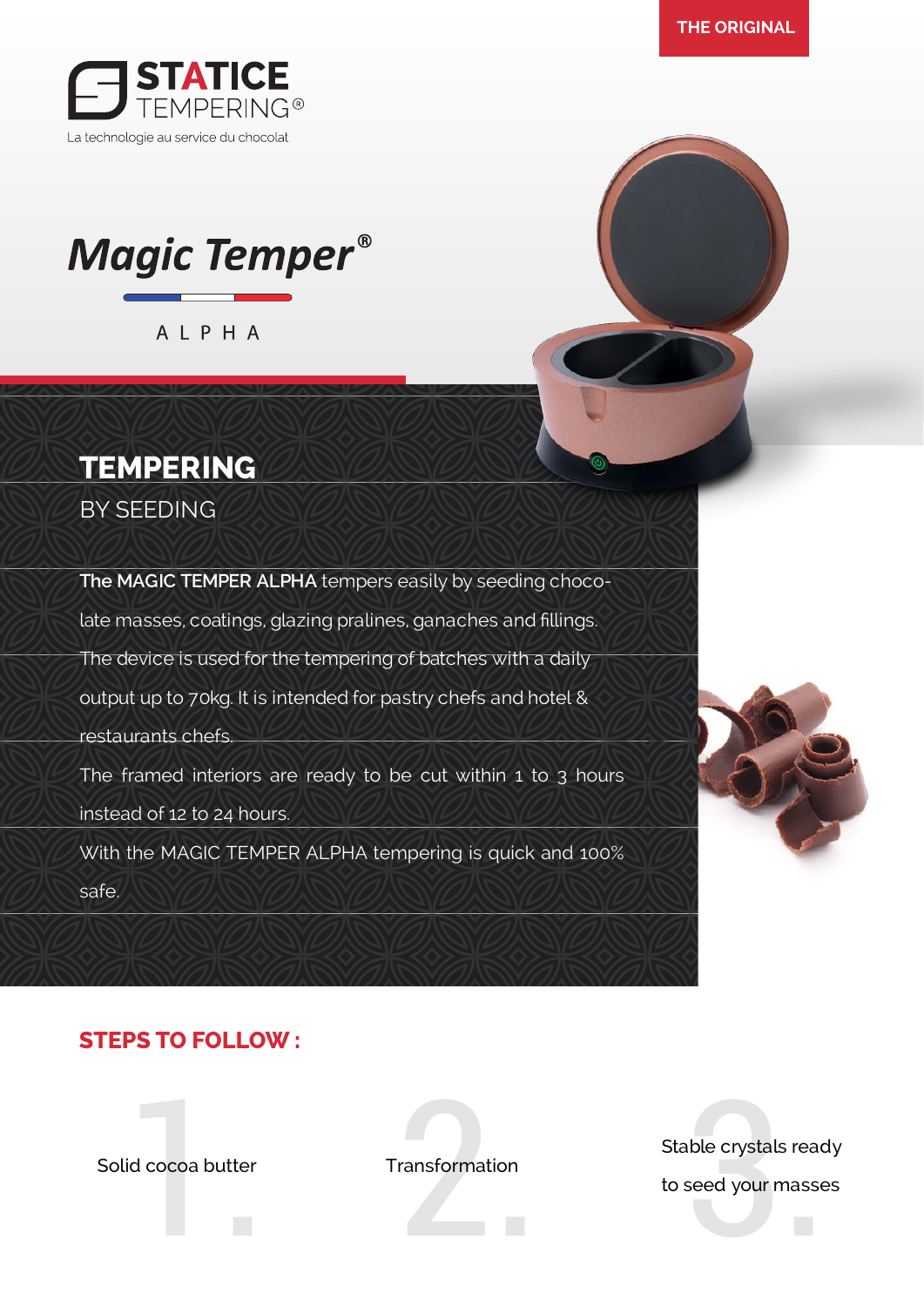

# **Magic Temper®**

ALPHA

# **TEMPERING**

BY SEEDING

**The MAGIC TEMPER ALPHA** tempers easily by seeding chocolate masses, coatings, glazing pralines, ganaches and fillings. The device is used for the tempering of batches with a daily output up to 70kg. It is intended for pastry chefs and hotel & restaurants chefs. The framed interiors are ready to be cut within 1 to 3 hours instead of 12 to 24 hours. With the MAGIC TEMPER ALPHA tempering is quick and 100% safe.



#### **STEPS TO FOLLOW :**

Solid cocoa butter Transformation

Fransformation<br>
to seed your masse<br>
to seed your masse

Stable crystals ready to seed your masses